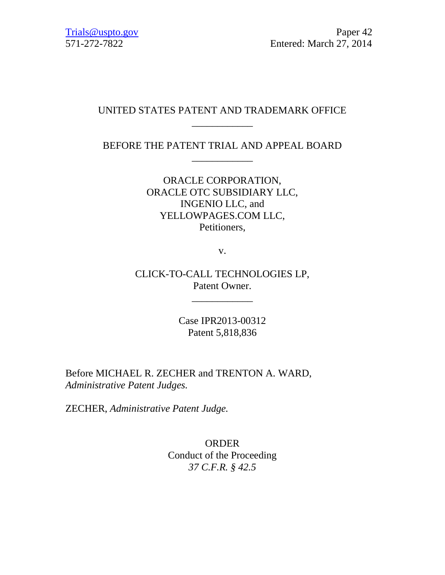# UNITED STATES PATENT AND TRADEMARK OFFICE \_\_\_\_\_\_\_\_\_\_\_\_

BEFORE THE PATENT TRIAL AND APPEAL BOARD \_\_\_\_\_\_\_\_\_\_\_\_

> ORACLE CORPORATION, ORACLE OTC SUBSIDIARY LLC, INGENIO LLC, and YELLOWPAGES.COM LLC, Petitioners,

> > v.

CLICK-TO-CALL TECHNOLOGIES LP, Patent Owner.

\_\_\_\_\_\_\_\_\_\_\_\_

Case IPR2013-00312 Patent 5,818,836

Before MICHAEL R. ZECHER and TRENTON A. WARD, *Administrative Patent Judges.*

ZECHER, *Administrative Patent Judge.*

ORDER Conduct of the Proceeding *37 C.F.R. § 42.5*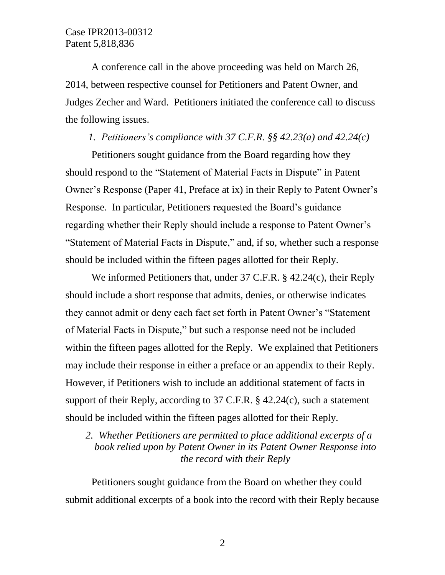A conference call in the above proceeding was held on March 26, 2014, between respective counsel for Petitioners and Patent Owner, and Judges Zecher and Ward. Petitioners initiated the conference call to discuss the following issues.

## *1. Petitioners's compliance with 37 C.F.R. §§ 42.23(a) and 42.24(c)*

Petitioners sought guidance from the Board regarding how they should respond to the "Statement of Material Facts in Dispute" in Patent Owner's Response (Paper 41, Preface at ix) in their Reply to Patent Owner's Response. In particular, Petitioners requested the Board's guidance regarding whether their Reply should include a response to Patent Owner's "Statement of Material Facts in Dispute," and, if so, whether such a response should be included within the fifteen pages allotted for their Reply.

We informed Petitioners that, under 37 C.F.R. § 42.24(c), their Reply should include a short response that admits, denies, or otherwise indicates they cannot admit or deny each fact set forth in Patent Owner's "Statement of Material Facts in Dispute," but such a response need not be included within the fifteen pages allotted for the Reply. We explained that Petitioners may include their response in either a preface or an appendix to their Reply. However, if Petitioners wish to include an additional statement of facts in support of their Reply, according to 37 C.F.R. § 42.24(c), such a statement should be included within the fifteen pages allotted for their Reply.

## *2. Whether Petitioners are permitted to place additional excerpts of a book relied upon by Patent Owner in its Patent Owner Response into the record with their Reply*

Petitioners sought guidance from the Board on whether they could submit additional excerpts of a book into the record with their Reply because

2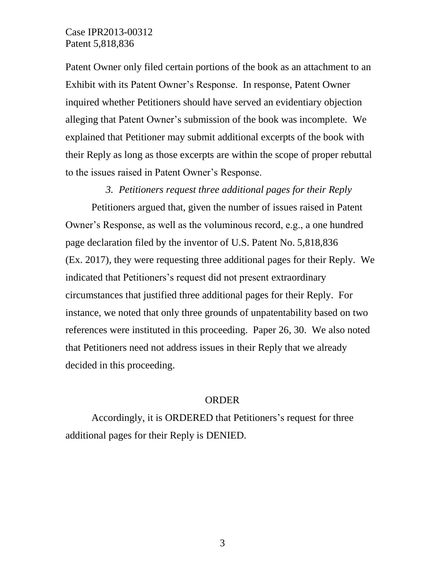## Case IPR2013-00312 Patent 5,818,836

Patent Owner only filed certain portions of the book as an attachment to an Exhibit with its Patent Owner's Response. In response, Patent Owner inquired whether Petitioners should have served an evidentiary objection alleging that Patent Owner's submission of the book was incomplete. We explained that Petitioner may submit additional excerpts of the book with their Reply as long as those excerpts are within the scope of proper rebuttal to the issues raised in Patent Owner's Response.

#### *3. Petitioners request three additional pages for their Reply*

Petitioners argued that, given the number of issues raised in Patent Owner's Response, as well as the voluminous record, e.g., a one hundred page declaration filed by the inventor of U.S. Patent No. 5,818,836 (Ex. 2017), they were requesting three additional pages for their Reply. We indicated that Petitioners's request did not present extraordinary circumstances that justified three additional pages for their Reply. For instance, we noted that only three grounds of unpatentability based on two references were instituted in this proceeding. Paper 26, 30. We also noted that Petitioners need not address issues in their Reply that we already decided in this proceeding.

#### ORDER

Accordingly, it is ORDERED that Petitioners's request for three additional pages for their Reply is DENIED.